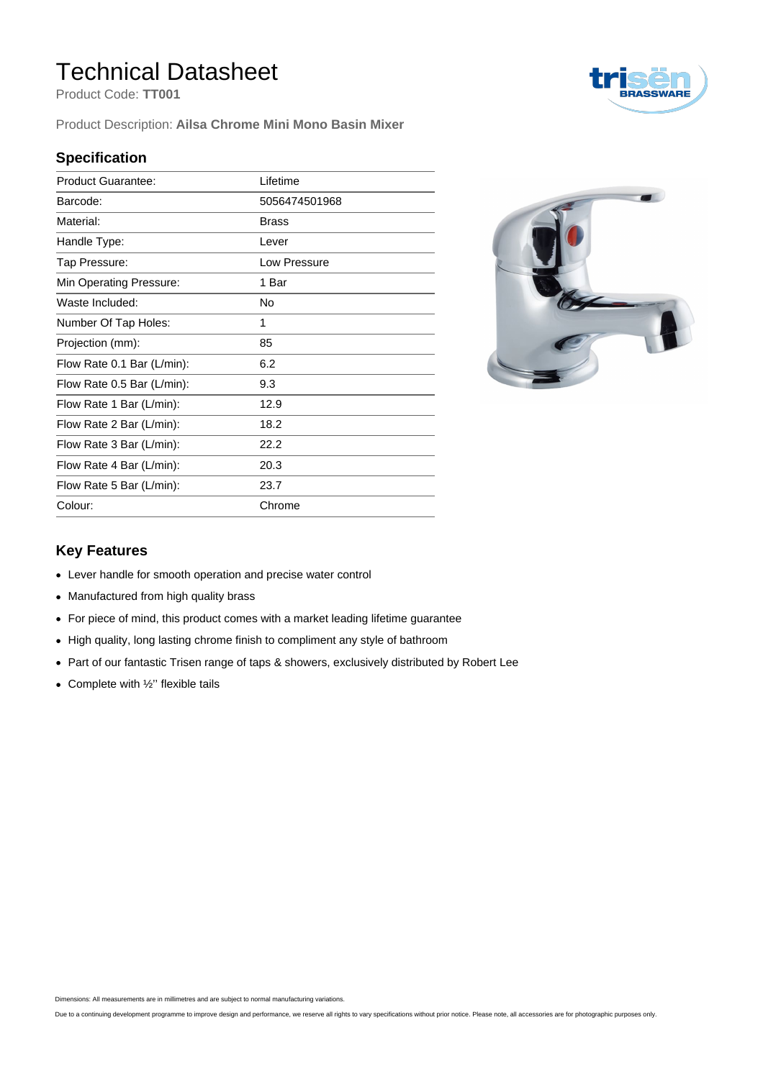## Technical Datasheet

Product Code: **TT001**

Product Description: **Ailsa Chrome Mini Mono Basin Mixer**

#### **Specification**

| <b>Product Guarantee:</b>  | Lifetime      |
|----------------------------|---------------|
| Barcode:                   | 5056474501968 |
| Material:                  | <b>Brass</b>  |
| Handle Type:               | Lever         |
| Tap Pressure:              | Low Pressure  |
| Min Operating Pressure:    | 1 Bar         |
| Waste Included:            | No            |
| Number Of Tap Holes:       | 1             |
| Projection (mm):           | 85            |
| Flow Rate 0.1 Bar (L/min): | 6.2           |
| Flow Rate 0.5 Bar (L/min): | 9.3           |
| Flow Rate 1 Bar (L/min):   | 12.9          |
| Flow Rate 2 Bar (L/min):   | 18.2          |
| Flow Rate 3 Bar (L/min):   | 22.2          |
| Flow Rate 4 Bar (L/min):   | 20.3          |
| Flow Rate 5 Bar (L/min):   | 23.7          |
| Colour:                    | Chrome        |



#### **Key Features**

- Lever handle for smooth operation and precise water control
- Manufactured from high quality brass
- For piece of mind, this product comes with a market leading lifetime guarantee
- High quality, long lasting chrome finish to compliment any style of bathroom
- Part of our fantastic Trisen range of taps & showers, exclusively distributed by Robert Lee
- Complete with  $\frac{1}{2}$ " flexible tails

Dimensions: All measurements are in millimetres and are subject to normal manufacturing variations.

Due to a continuing development programme to improve design and performance, we reserve all rights to vary specifications without prior notice. Please note, all accessories are for photographic purposes only.